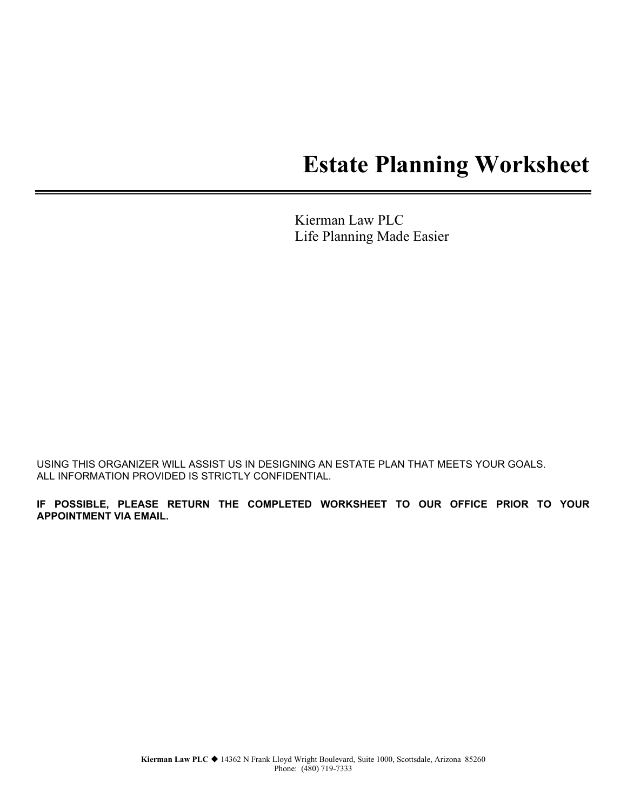# **Estate Planning Worksheet**

Kierman Law PLC Life Planning Made Easier

USING THIS ORGANIZER WILL ASSIST US IN DESIGNING AN ESTATE PLAN THAT MEETS YOUR GOALS. ALL INFORMATION PROVIDED IS STRICTLY CONFIDENTIAL.

**IF POSSIBLE, PLEASE RETURN THE COMPLETED WORKSHEET TO OUR OFFICE PRIOR TO YOUR APPOINTMENT VIA EMAIL.**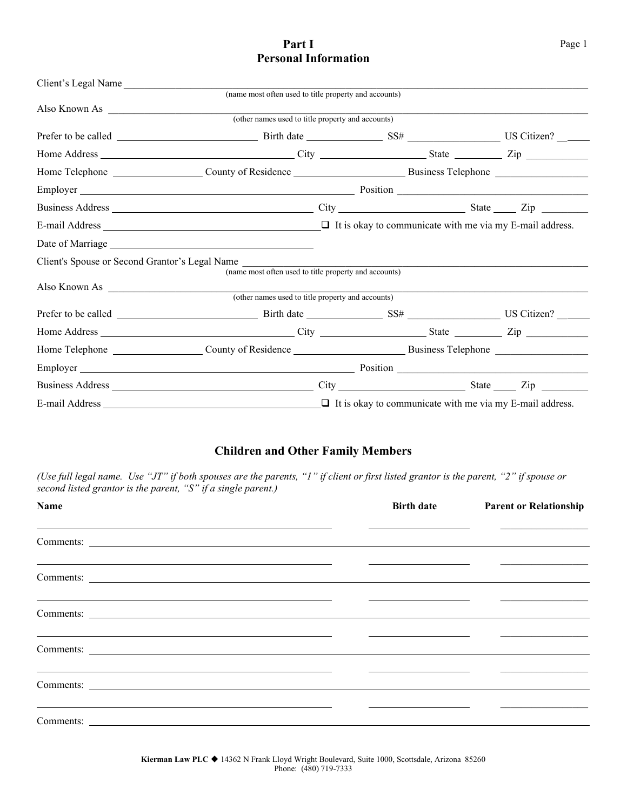#### Part I Page 1 **Personal Information**

| Also Known As                                                                                                                                                                                                                  |  |  |
|--------------------------------------------------------------------------------------------------------------------------------------------------------------------------------------------------------------------------------|--|--|
| (other names used to title property and accounts)                                                                                                                                                                              |  |  |
|                                                                                                                                                                                                                                |  |  |
|                                                                                                                                                                                                                                |  |  |
|                                                                                                                                                                                                                                |  |  |
| Employer Position Position Position Position Position Position Position Position Position Position Position Position Position Position Position Position Position Position Position Position Position Position Position Positi |  |  |
|                                                                                                                                                                                                                                |  |  |
|                                                                                                                                                                                                                                |  |  |
|                                                                                                                                                                                                                                |  |  |
| Client's Spouse or Second Grantor's Legal Name<br>(name most often used to title property and accounts)                                                                                                                        |  |  |
| Also Known As (other names used to title property and accounts)                                                                                                                                                                |  |  |
|                                                                                                                                                                                                                                |  |  |
|                                                                                                                                                                                                                                |  |  |
|                                                                                                                                                                                                                                |  |  |
|                                                                                                                                                                                                                                |  |  |
|                                                                                                                                                                                                                                |  |  |
|                                                                                                                                                                                                                                |  |  |
|                                                                                                                                                                                                                                |  |  |

#### **Children and Other Family Members**

*(Use full legal name. Use "JT" if both spouses are the parents, "1" if client or first listed grantor is the parent, "2" if spouse or second listed grantor is the parent, "S" if a single parent.)*

| Name                                                                                                                               | <b>Birth date</b> | <b>Parent or Relationship</b>                                                                                          |
|------------------------------------------------------------------------------------------------------------------------------------|-------------------|------------------------------------------------------------------------------------------------------------------------|
|                                                                                                                                    |                   |                                                                                                                        |
|                                                                                                                                    |                   | <u> 2000 - Andrea Andrew Maria (</u> 1980), contra a contra a contra a contra a contra a contra a contra a contra a co |
| <u> Alexandro de la contrada de la contrada de la contrada de la contrada de la contrada de la contrada de la con</u><br>Comments: |                   |                                                                                                                        |
|                                                                                                                                    |                   |                                                                                                                        |
| <u> 1989 - Johann Stoff, amerikansk politiker (* 1908)</u><br>Comments:                                                            |                   |                                                                                                                        |
| <u> 1989 - Andrea Santa Andrea Santa Andrea Santa Andrea Santa Andrea Santa Andrea Santa Andrea Santa Andrea San</u>               |                   |                                                                                                                        |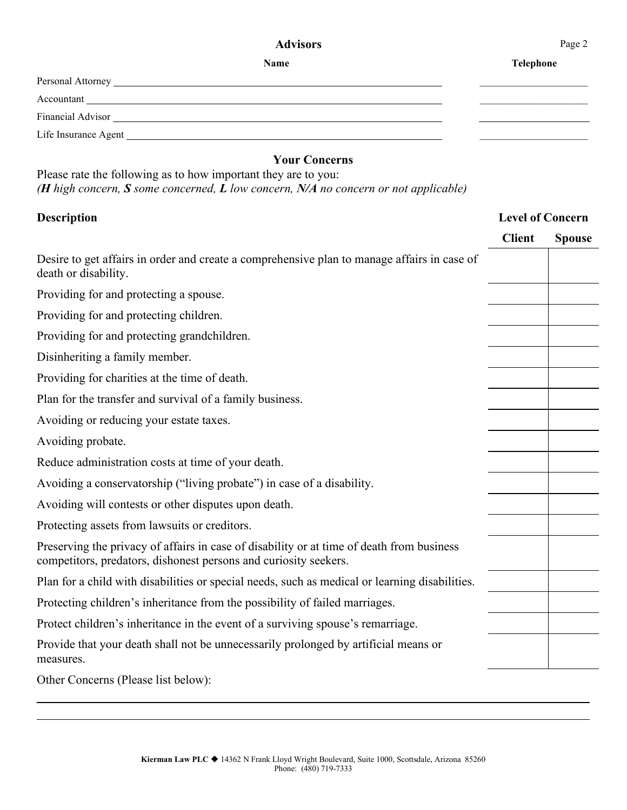#### Advisors Page 2

| <b>Name</b>                                                    | <b>Telephone</b> |
|----------------------------------------------------------------|------------------|
|                                                                |                  |
|                                                                |                  |
|                                                                |                  |
|                                                                |                  |
| <b>Your Concerns</b>                                           |                  |
| Please rate the following as to how important they are to you: |                  |

*(H high concern, S some concerned, L low concern, N/A no concern or not applicable)*

### **Description Level of Concern**

|                                                                                                                                                               | <b>Client</b> | <b>Spouse</b> |
|---------------------------------------------------------------------------------------------------------------------------------------------------------------|---------------|---------------|
| Desire to get affairs in order and create a comprehensive plan to manage affairs in case of<br>death or disability.                                           |               |               |
| Providing for and protecting a spouse.                                                                                                                        |               |               |
| Providing for and protecting children.                                                                                                                        |               |               |
| Providing for and protecting grandchildren.                                                                                                                   |               |               |
| Disinheriting a family member.                                                                                                                                |               |               |
| Providing for charities at the time of death.                                                                                                                 |               |               |
| Plan for the transfer and survival of a family business.                                                                                                      |               |               |
| Avoiding or reducing your estate taxes.                                                                                                                       |               |               |
| Avoiding probate.                                                                                                                                             |               |               |
| Reduce administration costs at time of your death.                                                                                                            |               |               |
| Avoiding a conservatorship ("living probate") in case of a disability.                                                                                        |               |               |
| Avoiding will contests or other disputes upon death.                                                                                                          |               |               |
| Protecting assets from lawsuits or creditors.                                                                                                                 |               |               |
| Preserving the privacy of affairs in case of disability or at time of death from business<br>competitors, predators, dishonest persons and curiosity seekers. |               |               |
| Plan for a child with disabilities or special needs, such as medical or learning disabilities.                                                                |               |               |
| Protecting children's inheritance from the possibility of failed marriages.                                                                                   |               |               |
| Protect children's inheritance in the event of a surviving spouse's remarriage.                                                                               |               |               |
| Provide that your death shall not be unnecessarily prolonged by artificial means or<br>measures.                                                              |               |               |
| Other Concerns (Please list below):                                                                                                                           |               |               |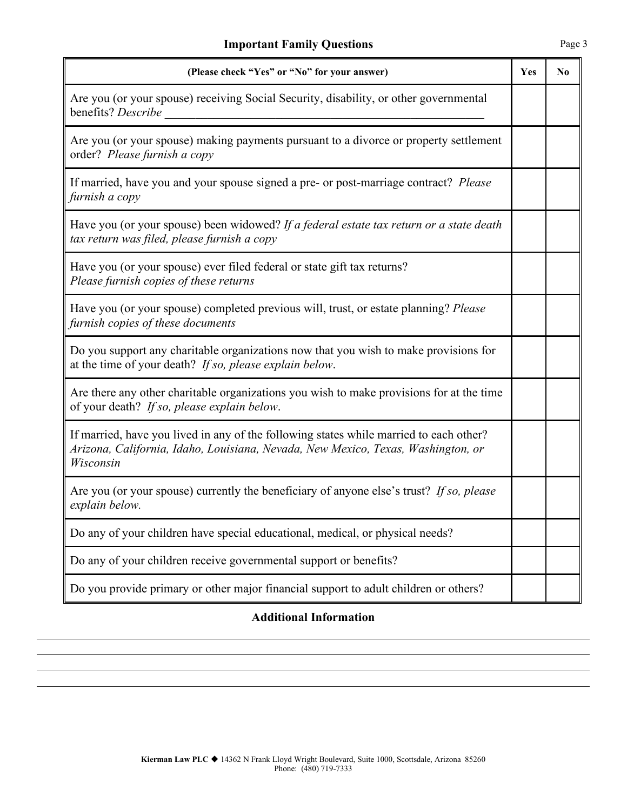| (Please check "Yes" or "No" for your answer)                                                                                                                                            | Yes | N <sub>0</sub> |
|-----------------------------------------------------------------------------------------------------------------------------------------------------------------------------------------|-----|----------------|
| Are you (or your spouse) receiving Social Security, disability, or other governmental<br>benefits? Describe                                                                             |     |                |
| Are you (or your spouse) making payments pursuant to a divorce or property settlement<br>order? Please furnish a copy                                                                   |     |                |
| If married, have you and your spouse signed a pre- or post-marriage contract? Please<br>furnish a copy                                                                                  |     |                |
| Have you (or your spouse) been widowed? If a federal estate tax return or a state death<br>tax return was filed, please furnish a copy                                                  |     |                |
| Have you (or your spouse) ever filed federal or state gift tax returns?<br>Please furnish copies of these returns                                                                       |     |                |
| Have you (or your spouse) completed previous will, trust, or estate planning? Please<br>furnish copies of these documents                                                               |     |                |
| Do you support any charitable organizations now that you wish to make provisions for<br>at the time of your death? If so, please explain below.                                         |     |                |
| Are there any other charitable organizations you wish to make provisions for at the time<br>of your death? If so, please explain below.                                                 |     |                |
| If married, have you lived in any of the following states while married to each other?<br>Arizona, California, Idaho, Louisiana, Nevada, New Mexico, Texas, Washington, or<br>Wisconsin |     |                |
| Are you (or your spouse) currently the beneficiary of anyone else's trust? If so, please<br>explain below.                                                                              |     |                |
| Do any of your children have special educational, medical, or physical needs?                                                                                                           |     |                |
| Do any of your children receive governmental support or benefits?                                                                                                                       |     |                |
| Do you provide primary or other major financial support to adult children or others?                                                                                                    |     |                |

#### **Additional Information**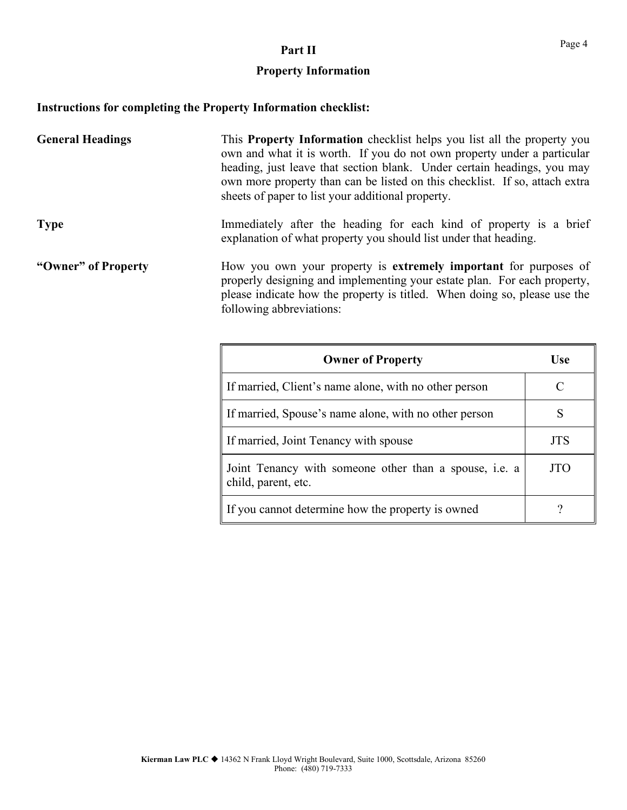## **Part II** Page 4

### **Property Information**

### **Instructions for completing the Property Information checklist:**

| <b>General Headings</b> | This <b>Property Information</b> checklist helps you list all the property you<br>own and what it is worth. If you do not own property under a particular<br>heading, just leave that section blank. Under certain headings, you may<br>own more property than can be listed on this checklist. If so, attach extra<br>sheets of paper to list your additional property. |                                                                                                                                                                                                                           |  |  |
|-------------------------|--------------------------------------------------------------------------------------------------------------------------------------------------------------------------------------------------------------------------------------------------------------------------------------------------------------------------------------------------------------------------|---------------------------------------------------------------------------------------------------------------------------------------------------------------------------------------------------------------------------|--|--|
| <b>Type</b>             | Immediately after the heading for each kind of property is a brief<br>explanation of what property you should list under that heading.                                                                                                                                                                                                                                   |                                                                                                                                                                                                                           |  |  |
| "Owner" of Property     | following abbreviations:                                                                                                                                                                                                                                                                                                                                                 | How you own your property is extremely important for purposes of<br>properly designing and implementing your estate plan. For each property,<br>please indicate how the property is titled. When doing so, please use the |  |  |
|                         | <b>Owner of Property</b>                                                                                                                                                                                                                                                                                                                                                 | <b>Use</b>                                                                                                                                                                                                                |  |  |
|                         | If married Client's name alone with no other person                                                                                                                                                                                                                                                                                                                      | $\cap$                                                                                                                                                                                                                    |  |  |

| If married, Client's name alone, with no other person                                |            |
|--------------------------------------------------------------------------------------|------------|
| If married, Spouse's name alone, with no other person                                |            |
| If married, Joint Tenancy with spouse                                                | <b>JTS</b> |
| Joint Tenancy with someone other than a spouse, <i>i.e.</i> a<br>child, parent, etc. | JTO        |
| If you cannot determine how the property is owned                                    |            |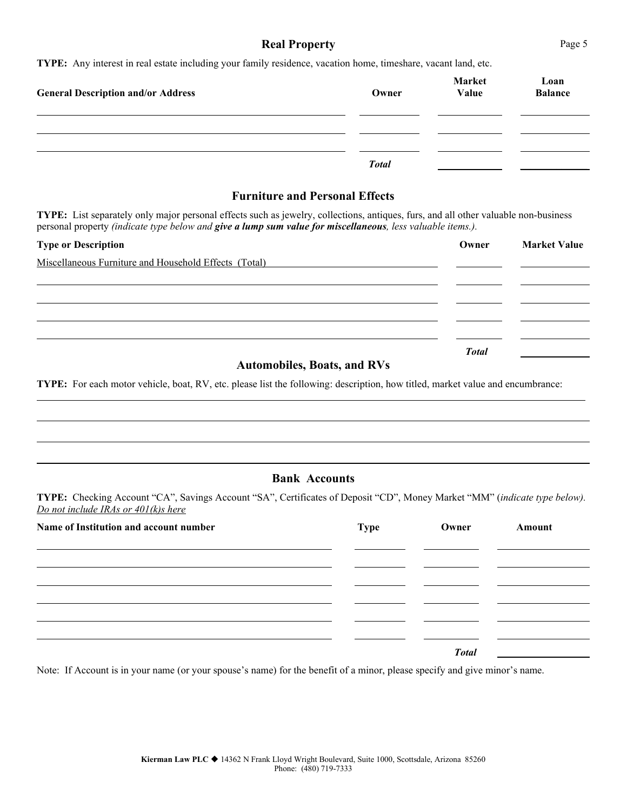#### **Real Property** Page 5

**TYPE:** Any interest in real estate including your family residence, vacation home, timeshare, vacant land, etc.

| <b>General Description and/or Address</b> | Owner        | <b>Market</b><br>Value | Loan<br><b>Balance</b> |
|-------------------------------------------|--------------|------------------------|------------------------|
|                                           |              |                        |                        |
|                                           | <b>Total</b> |                        |                        |

#### **Furniture and Personal Effects**

**TYPE:** List separately only major personal effects such as jewelry, collections, antiques, furs, and all other valuable non-business personal property *(indicate type below and give a lump sum value for miscellaneous, less valuable items.).*

| <b>Type or Description</b>                            | Owner        | <b>Market Value</b> |
|-------------------------------------------------------|--------------|---------------------|
| Miscellaneous Furniture and Household Effects (Total) |              |                     |
|                                                       |              |                     |
|                                                       |              |                     |
|                                                       |              |                     |
|                                                       |              |                     |
|                                                       | <b>Total</b> |                     |

#### **Automobiles, Boats, and RVs**

**TYPE:** For each motor vehicle, boat, RV, etc. please list the following: description, how titled, market value and encumbrance:

#### **Bank Accounts**

**TYPE:** Checking Account "CA", Savings Account "SA", Certificates of Deposit "CD", Money Market "MM" (*indicate type below). Do not include IRAs or 401(k)s here*

| Name of Institution and account number | Type | Owner        | Amount |
|----------------------------------------|------|--------------|--------|
|                                        |      |              |        |
|                                        |      |              |        |
|                                        |      |              |        |
|                                        |      |              |        |
|                                        |      | <b>Total</b> |        |

Note: If Account is in your name (or your spouse's name) for the benefit of a minor, please specify and give minor's name.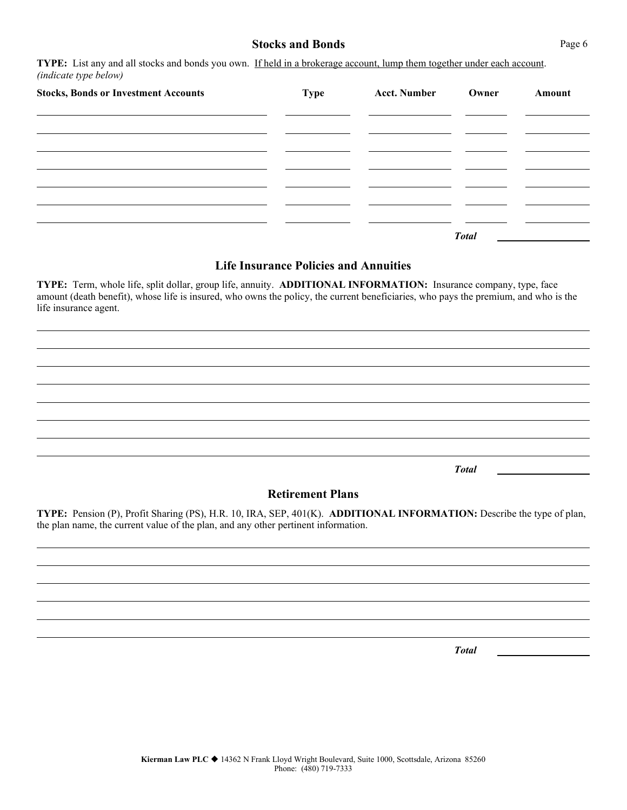#### **Stocks and Bonds** Page 6

**TYPE:** List any and all stocks and bonds you own. If held in a brokerage account, lump them together under each account. *(indicate type below)*

| <b>Stocks, Bonds or Investment Accounts</b> | <b>Type</b> | <b>Acct. Number</b> | Owner        | Amount |
|---------------------------------------------|-------------|---------------------|--------------|--------|
|                                             |             |                     |              |        |
|                                             |             |                     |              |        |
|                                             |             |                     |              |        |
|                                             |             |                     |              |        |
|                                             |             |                     | <b>Total</b> |        |

#### **Life Insurance Policies and Annuities**

**TYPE:** Term, whole life, split dollar, group life, annuity. **ADDITIONAL INFORMATION:** Insurance company, type, face amount (death benefit), whose life is insured, who owns the policy, the current beneficiaries, who pays the premium, and who is the life insurance agent.

*Total*

#### **Retirement Plans**

**TYPE:** Pension (P), Profit Sharing (PS), H.R. 10, IRA, SEP, 401(K). **ADDITIONAL INFORMATION:** Describe the type of plan, the plan name, the current value of the plan, and any other pertinent information.

*Total*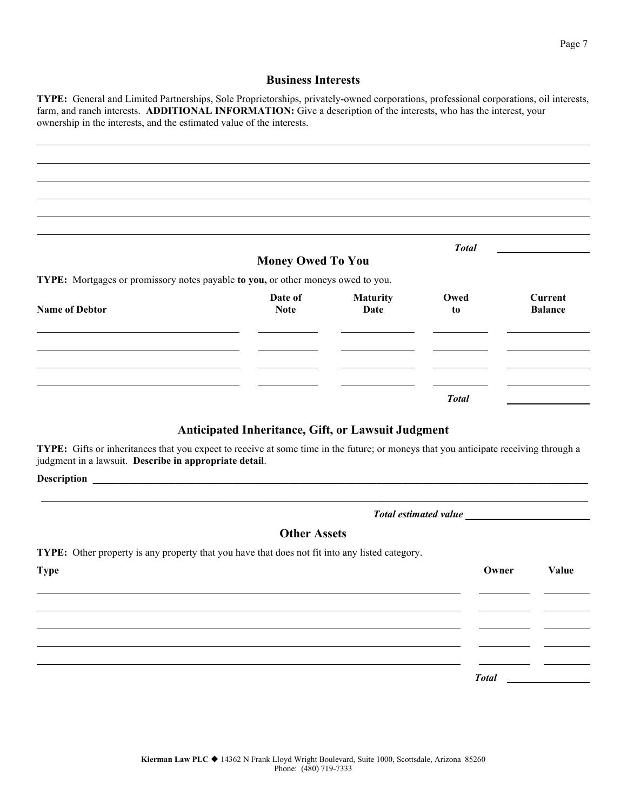#### **Business Interests**

**TYPE:** General and Limited Partnerships, Sole Proprietorships, privately-owned corporations, professional corporations, oil interests, farm, and ranch interests. **ADDITIONAL INFORMATION:** Give a description of the interests, who has the interest, your ownership in the interests, and the estimated value of the interests.

|                                                                                  |                          |                         | <b>Total</b> |                                  |
|----------------------------------------------------------------------------------|--------------------------|-------------------------|--------------|----------------------------------|
| TYPE: Mortgages or promissory notes payable to you, or other moneys owed to you. | <b>Money Owed To You</b> |                         |              |                                  |
| <b>Name of Debtor</b>                                                            | Date of<br><b>Note</b>   | <b>Maturity</b><br>Date | Owed<br>to   | <b>Current</b><br><b>Balance</b> |
|                                                                                  |                          |                         |              |                                  |
|                                                                                  |                          |                         |              |                                  |
|                                                                                  |                          |                         | <b>Total</b> |                                  |

#### **Anticipated Inheritance, Gift, or Lawsuit Judgment**

**TYPE:** Gifts or inheritances that you expect to receive at some time in the future; or moneys that you anticipate receiving through a judgment in a lawsuit. **Describe in appropriate detail**.

**Description** 

*Total estimated value \_\_\_\_\_\_\_\_\_\_\_\_\_\_\_\_\_\_\_\_\_\_\_*

#### **Other Assets**

\_\_\_\_\_\_\_\_\_\_\_\_\_\_\_\_\_\_\_\_\_\_\_\_\_\_\_\_\_\_\_\_\_\_\_\_\_\_\_\_\_\_\_\_\_\_\_\_\_\_\_\_\_\_\_\_\_\_\_\_\_\_\_\_\_\_\_\_\_\_\_\_\_\_\_\_\_\_\_\_\_\_\_\_\_\_\_\_\_\_\_\_\_\_\_\_\_\_\_\_\_\_\_\_\_\_

**TYPE:** Other property is any property that you have that does not fit into any listed category.

| <b>Type</b> | Owner        | Value |
|-------------|--------------|-------|
|             |              |       |
|             |              |       |
|             |              |       |
|             |              |       |
|             | <b>Total</b> |       |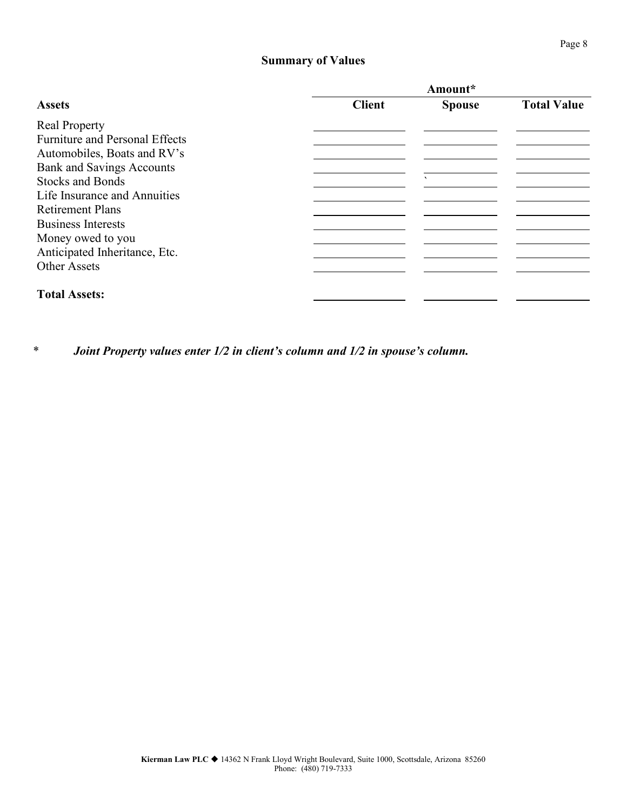#### **Summary of Values**

| Amount*       |               |                    |
|---------------|---------------|--------------------|
| <b>Client</b> | <b>Spouse</b> | <b>Total Value</b> |
|               |               |                    |
|               |               |                    |
|               |               |                    |
|               |               |                    |
|               | $\mathbf{v}$  |                    |
|               |               |                    |
|               |               |                    |
|               |               |                    |
|               |               |                    |
|               |               |                    |
|               |               |                    |
|               |               |                    |
|               |               |                    |

*\* Joint Property values enter 1/2 in client's column and 1/2 in spouse's column.*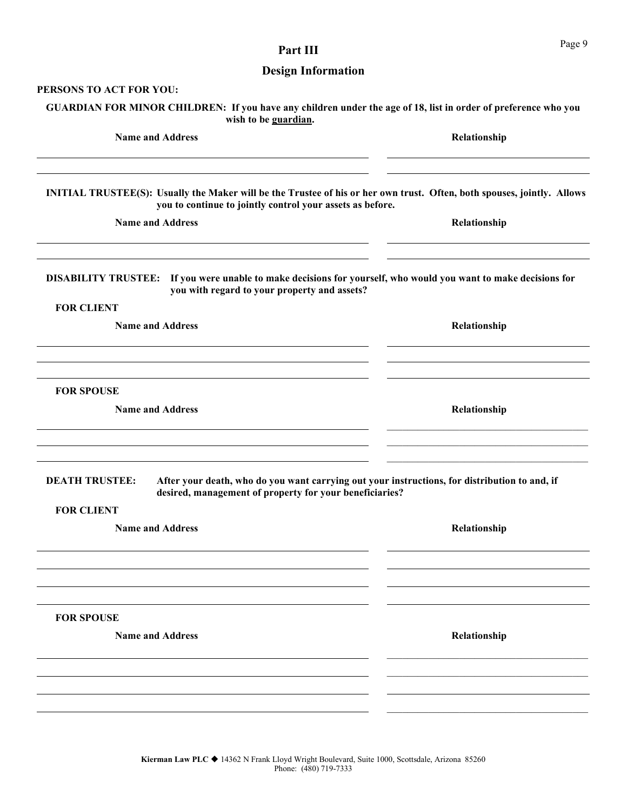| <b>Design Information</b>                                                                                                                                                            |              |
|--------------------------------------------------------------------------------------------------------------------------------------------------------------------------------------|--------------|
| PERSONS TO ACT FOR YOU:                                                                                                                                                              |              |
| GUARDIAN FOR MINOR CHILDREN: If you have any children under the age of 18, list in order of preference who you<br>wish to be guardian.                                               |              |
| <b>Name and Address</b>                                                                                                                                                              | Relationship |
|                                                                                                                                                                                      |              |
| INITIAL TRUSTEE(S): Usually the Maker will be the Trustee of his or her own trust. Often, both spouses, jointly. Allows<br>you to continue to jointly control your assets as before. |              |
| <b>Name and Address</b>                                                                                                                                                              | Relationship |
| DISABILITY TRUSTEE: If you were unable to make decisions for yourself, who would you want to make decisions for<br>you with regard to your property and assets?                      |              |
| <b>FOR CLIENT</b>                                                                                                                                                                    |              |
| <b>Name and Address</b>                                                                                                                                                              | Relationship |
|                                                                                                                                                                                      |              |
| <b>FOR SPOUSE</b>                                                                                                                                                                    |              |
| <b>Name and Address</b>                                                                                                                                                              | Relationship |
|                                                                                                                                                                                      |              |
| After your death, who do you want carrying out your instructions, for distribution to and, if<br><b>DEATH TRUSTEE:</b><br>desired, management of property for your beneficiaries?    |              |
| <b>FOR CLIENT</b>                                                                                                                                                                    |              |
| <b>Name and Address</b>                                                                                                                                                              | Relationship |
|                                                                                                                                                                                      |              |
|                                                                                                                                                                                      |              |
| <b>FOR SPOUSE</b>                                                                                                                                                                    |              |
| <b>Name and Address</b>                                                                                                                                                              | Relationship |
|                                                                                                                                                                                      |              |
|                                                                                                                                                                                      |              |
|                                                                                                                                                                                      |              |

Part III Page 9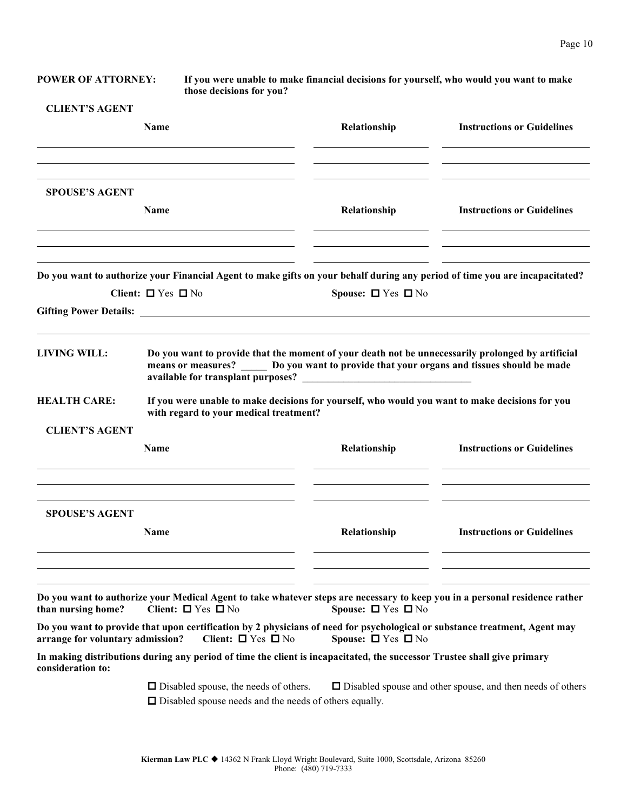**POWER OF ATTORNEY: If you were unable to make financial decisions for yourself, who would you want to make those decisions for you?**

#### **CLIENT'S AGENT**

|                                  | Name                                                                                                                                                                                       | Relationship                 | <b>Instructions or Guidelines</b>                                 |
|----------------------------------|--------------------------------------------------------------------------------------------------------------------------------------------------------------------------------------------|------------------------------|-------------------------------------------------------------------|
| <b>SPOUSE'S AGENT</b>            | <b>Name</b>                                                                                                                                                                                | Relationship                 | <b>Instructions or Guidelines</b>                                 |
|                                  |                                                                                                                                                                                            |                              |                                                                   |
|                                  | Do you want to authorize your Financial Agent to make gifts on your behalf during any period of time you are incapacitated?                                                                |                              |                                                                   |
|                                  | Client: $\Box$ Yes $\Box$ No                                                                                                                                                               | Spouse: $\Box$ Yes $\Box$ No |                                                                   |
| <b>LIVING WILL:</b>              | Do you want to provide that the moment of your death not be unnecessarily prolonged by artificial<br>means or measures? Do you want to provide that your organs and tissues should be made |                              |                                                                   |
| <b>HEALTH CARE:</b>              | If you were unable to make decisions for yourself, who would you want to make decisions for you<br>with regard to your medical treatment?                                                  |                              |                                                                   |
| <b>CLIENT'S AGENT</b>            |                                                                                                                                                                                            |                              |                                                                   |
|                                  | <b>Name</b>                                                                                                                                                                                | Relationship                 | <b>Instructions or Guidelines</b>                                 |
| <b>SPOUSE'S AGENT</b>            |                                                                                                                                                                                            |                              |                                                                   |
|                                  | Name                                                                                                                                                                                       | Relationship                 | <b>Instructions or Guidelines</b>                                 |
| than nursing home?               | Do you want to authorize your Medical Agent to take whatever steps are necessary to keep you in a personal residence rather<br>Client: $\Box$ Yes $\Box$ No                                | Spouse: $\Box$ Yes $\Box$ No |                                                                   |
| arrange for voluntary admission? | Do you want to provide that upon certification by 2 physicians of need for psychological or substance treatment, Agent may<br>Client: $\Box$ Yes $\Box$ No                                 | Spouse: $\Box$ Yes $\Box$ No |                                                                   |
| consideration to:                | In making distributions during any period of time the client is incapacitated, the successor Trustee shall give primary                                                                    |                              |                                                                   |
|                                  | $\Box$ Disabled spouse, the needs of others.<br>$\Box$ Disabled spouse needs and the needs of others equally.                                                                              |                              | $\Box$ Disabled spouse and other spouse, and then needs of others |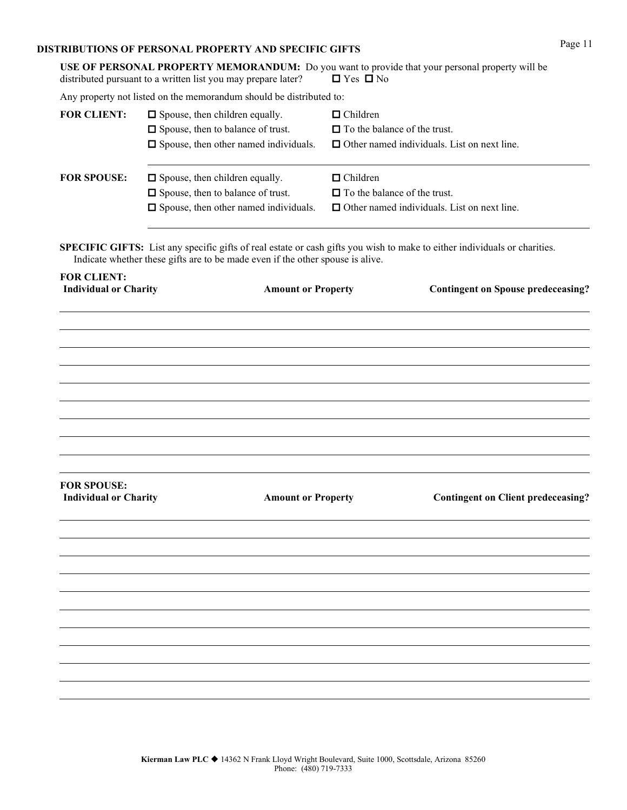### **DISTRIBUTIONS OF PERSONAL PROPERTY AND SPECIFIC GIFTS** Page 11

|                                                    | USE OF PERSONAL PROPERTY MEMORANDUM: Do you want to provide that your personal property will be<br>distributed pursuant to a written list you may prepare later?                                                   | $\Box$ Yes $\Box$ No |                                                                                           |  |
|----------------------------------------------------|--------------------------------------------------------------------------------------------------------------------------------------------------------------------------------------------------------------------|----------------------|-------------------------------------------------------------------------------------------|--|
|                                                    | Any property not listed on the memorandum should be distributed to:                                                                                                                                                |                      |                                                                                           |  |
| <b>FOR CLIENT:</b>                                 | $\Box$ Spouse, then children equally.<br>□ Spouse, then to balance of trust.<br>$\Box$ Spouse, then other named individuals.                                                                                       | $\Box$ Children      | $\Box$ To the balance of the trust.<br>$\Box$ Other named individuals. List on next line. |  |
| <b>FOR SPOUSE:</b>                                 | $\Box$ Spouse, then children equally.<br>□ Spouse, then to balance of trust.<br>$\Box$ Spouse, then other named individuals.                                                                                       | $\Box$ Children      | $\Box$ To the balance of the trust.<br>$\Box$ Other named individuals. List on next line. |  |
|                                                    | <b>SPECIFIC GIFTS:</b> List any specific gifts of real estate or cash gifts you wish to make to either individuals or charities.<br>Indicate whether these gifts are to be made even if the other spouse is alive. |                      |                                                                                           |  |
| <b>FOR CLIENT:</b><br><b>Individual or Charity</b> | <b>Amount or Property</b>                                                                                                                                                                                          |                      | <b>Contingent on Spouse predeceasing?</b>                                                 |  |
|                                                    |                                                                                                                                                                                                                    |                      |                                                                                           |  |
| <b>FOR SPOUSE:</b><br><b>Individual or Charity</b> | <b>Amount or Property</b>                                                                                                                                                                                          |                      | <b>Contingent on Client predeceasing?</b>                                                 |  |
|                                                    |                                                                                                                                                                                                                    |                      |                                                                                           |  |
|                                                    |                                                                                                                                                                                                                    |                      |                                                                                           |  |
|                                                    |                                                                                                                                                                                                                    |                      |                                                                                           |  |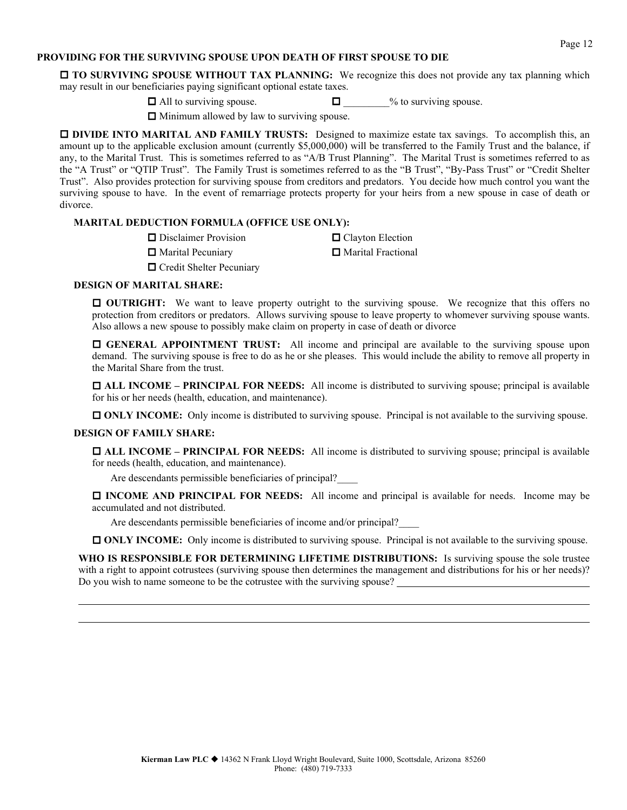#### **PROVIDING FOR THE SURVIVING SPOUSE UPON DEATH OF FIRST SPOUSE TO DIE**

 **TO SURVIVING SPOUSE WITHOUT TAX PLANNING:** We recognize this does not provide any tax planning which may result in our beneficiaries paying significant optional estate taxes.

 $\Box$  All to surviving spouse.  $\Box$  % to surviving spouse.

 $\Box$  Minimum allowed by law to surviving spouse.

**DIVIDE INTO MARITAL AND FAMILY TRUSTS:** Designed to maximize estate tax savings. To accomplish this, an amount up to the applicable exclusion amount (currently \$5,000,000) will be transferred to the Family Trust and the balance, if any, to the Marital Trust. This is sometimes referred to as "A/B Trust Planning". The Marital Trust is sometimes referred to as the "A Trust" or "QTIP Trust". The Family Trust is sometimes referred to as the "B Trust", "By-Pass Trust" or "Credit Shelter Trust". Also provides protection for surviving spouse from creditors and predators. You decide how much control you want the surviving spouse to have. In the event of remarriage protects property for your heirs from a new spouse in case of death or divorce.

#### **MARITAL DEDUCTION FORMULA (OFFICE USE ONLY):**

□ Disclaimer Provision □ Clayton Election

 $\Box$  Marital Pecuniary  $\Box$  Marital Fractional

**O** Credit Shelter Pecuniary

#### **DESIGN OF MARITAL SHARE:**

 **OUTRIGHT:** We want to leave property outright to the surviving spouse. We recognize that this offers no protection from creditors or predators. Allows surviving spouse to leave property to whomever surviving spouse wants. Also allows a new spouse to possibly make claim on property in case of death or divorce

 **GENERAL APPOINTMENT TRUST:** All income and principal are available to the surviving spouse upon demand. The surviving spouse is free to do as he or she pleases. This would include the ability to remove all property in the Marital Share from the trust.

 **ALL INCOME – PRINCIPAL FOR NEEDS:** All income is distributed to surviving spouse; principal is available for his or her needs (health, education, and maintenance).

**ONLY INCOME:** Only income is distributed to surviving spouse. Principal is not available to the surviving spouse.

#### **DESIGN OF FAMILY SHARE:**

 **ALL INCOME – PRINCIPAL FOR NEEDS:** All income is distributed to surviving spouse; principal is available for needs (health, education, and maintenance).

Are descendants permissible beneficiaries of principal?

 **INCOME AND PRINCIPAL FOR NEEDS:** All income and principal is available for needs. Income may be accumulated and not distributed.

Are descendants permissible beneficiaries of income and/or principal?\_\_\_\_

**ONLY INCOME:** Only income is distributed to surviving spouse. Principal is not available to the surviving spouse.

WHO IS RESPONSIBLE FOR DETERMINING LIFETIME DISTRIBUTIONS: Is surviving spouse the sole trustee with a right to appoint cotrustees (surviving spouse then determines the management and distributions for his or her needs)? Do you wish to name someone to be the cotrustee with the surviving spouse?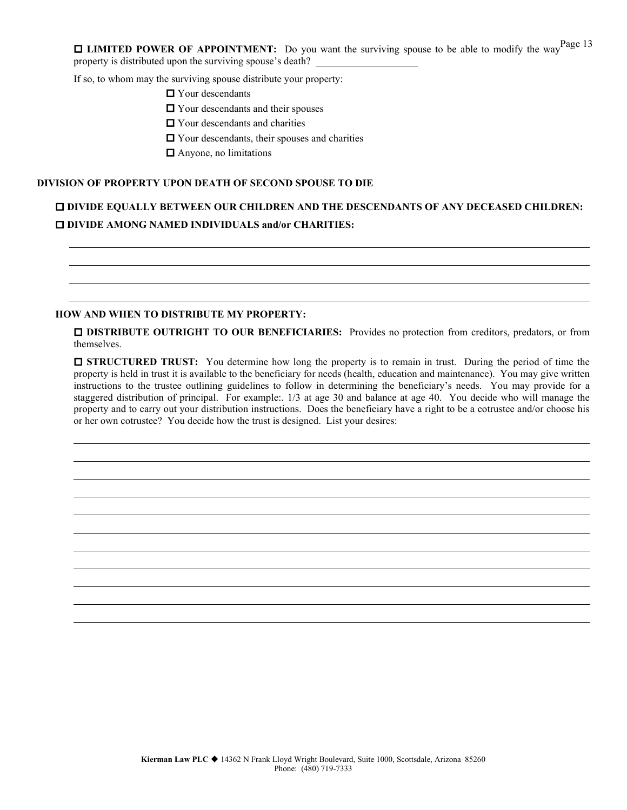$\Box$  **LIMITED POWER OF APPOINTMENT:** Do you want the surviving spouse to be able to modify the way<sup>Page 13</sup> property is distributed upon the surviving spouse's death?

If so, to whom may the surviving spouse distribute your property:

- Your descendants
- $\Box$  Your descendants and their spouses
- $\Box$  Your descendants and charities
- Your descendants, their spouses and charities
- Anyone, no limitations

#### **DIVISION OF PROPERTY UPON DEATH OF SECOND SPOUSE TO DIE**

### **DIVIDE EQUALLY BETWEEN OUR CHILDREN AND THE DESCENDANTS OF ANY DECEASED CHILDREN: DIVIDE AMONG NAMED INDIVIDUALS and/or CHARITIES:**

#### **HOW AND WHEN TO DISTRIBUTE MY PROPERTY:**

 **DISTRIBUTE OUTRIGHT TO OUR BENEFICIARIES:** Provides no protection from creditors, predators, or from themselves.

**STRUCTURED TRUST:** You determine how long the property is to remain in trust. During the period of time the property is held in trust it is available to the beneficiary for needs (health, education and maintenance). You may give written instructions to the trustee outlining guidelines to follow in determining the beneficiary's needs. You may provide for a staggered distribution of principal. For example:. 1/3 at age 30 and balance at age 40. You decide who will manage the property and to carry out your distribution instructions. Does the beneficiary have a right to be a cotrustee and/or choose his or her own cotrustee? You decide how the trust is designed. List your desires: